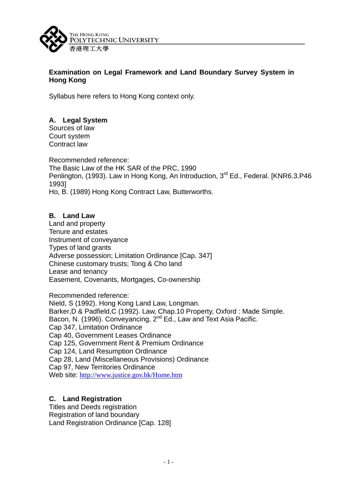

## **Examination on Legal Framework and Land Boundary Survey System in Hong Kong**

Syllabus here refers to Hong Kong context only.

# **A. Legal System**

Sources of law Court system Contract law

Recommended reference: The Basic Law of the HK SAR of the PRC, 1990 Penlington, (1993). Law in Hong Kong, An Introduction, 3<sup>rd</sup> Ed., Federal. [KNR6.3.P46] 1993] Ho, B. (1989) Hong Kong Contract Law, Butterworths.

# **B. Land Law**

Land and property Tenure and estates Instrument of conveyance Types of land grants Adverse possession; Limitation Ordinance [Cap. 347] Chinese customary trusts; Tong & Cho land Lease and tenancy Easement, Covenants, Mortgages, Co-ownership

Recommended reference: Nield, S (1992). Hong Kong Land Law, Longman. Barker,D & Padfield,C (1992). Law, Chap.10 Property, Oxford : Made Simple. Bacon, N. (1996). Convevancing, 2<sup>nd</sup> Ed., Law and Text Asia Pacific. Cap 347, Limitation Ordinance Cap 40, Government Leases Ordinance Cap 125, Government Rent & Premium Ordinance Cap 124, Land Resumption Ordinance Cap 28, Land (Miscellaneous Provisions) Ordinance Cap 97, New Territories Ordinance Web site: http://www.justice.gov.hk/Home.htm

#### **C. Land Registration**

Titles and Deeds registration Registration of land boundary Land Registration Ordinance [Cap. 128]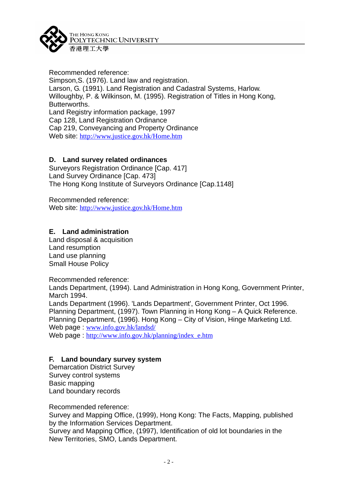

Recommended reference: Simpson,S. (1976). Land law and registration. Larson, G. (1991). Land Registration and Cadastral Systems, Harlow. Willoughby, P. & Wilkinson, M. (1995). Registration of Titles in Hong Kong, Butterworths. Land Registry information package, 1997 Cap 128, Land Registration Ordinance Cap 219, Conveyancing and Property Ordinance Web site: http://www.justice.gov.hk/Home.htm

## **D. Land survey related ordinances**

Surveyors Registration Ordinance [Cap. 417] Land Survey Ordinance [Cap. 473] The Hong Kong Institute of Surveyors Ordinance [Cap.1148]

Recommended reference: Web site: http://www.justice.gov.hk/Home.htm

## **E. Land administration**

Land disposal & acquisition Land resumption Land use planning Small House Policy

Recommended reference:

Lands Department, (1994). Land Administration in Hong Kong, Government Printer, March 1994.

Lands Department (1996). 'Lands Department', Government Printer, Oct 1996. Planning Department, (1997). Town Planning in Hong Kong – A Quick Reference. Planning Department, (1996). Hong Kong – City of Vision, Hinge Marketing Ltd. Web page : www.info.gov.hk/landsd/

Web page : http://www.info.gov.hk/planning/index\_e.htm

#### **F. Land boundary survey system**

Demarcation District Survey Survey control systems Basic mapping Land boundary records

Recommended reference:

Survey and Mapping Office, (1999), Hong Kong: The Facts, Mapping, published by the Information Services Department.

Survey and Mapping Office, (1997), Identification of old lot boundaries in the New Territories, SMO, Lands Department.